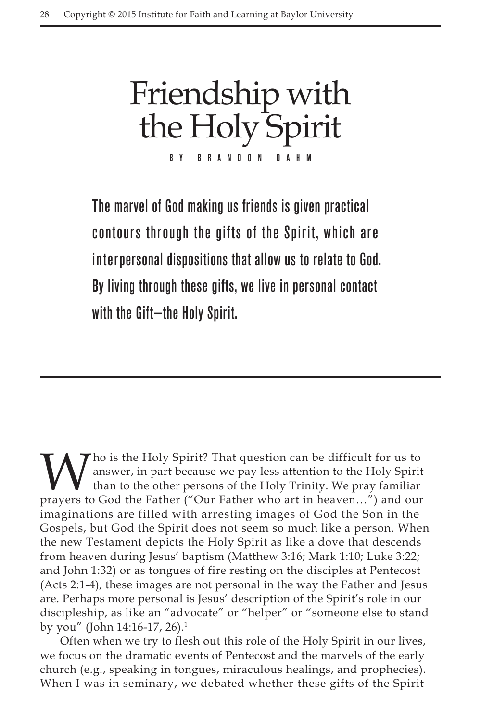Friendship with the Holy Spirit B R A N D O N

The marvel of God making us friends is given practical contours through the gifts of the Spirit, which are interpersonal dispositions that allow us to relate to God. By living through these gifts, we live in personal contact with the Gift—the Holy Spirit.

"ho is the Holy Spirit? That question can be difficult for us to answer, in part because we pay less attention to the Holy Spirit than to the other persons of the Holy Trinity. We pray familiar prayers to God the Father ("Our Father who art in heaven…") and our imaginations are filled with arresting images of God the Son in the Gospels, but God the Spirit does not seem so much like a person. When the new Testament depicts the Holy Spirit as like a dove that descends from heaven during Jesus' baptism (Matthew 3:16; Mark 1:10; Luke 3:22; and John 1:32) or as tongues of fire resting on the disciples at Pentecost (Acts 2:1-4), these images are not personal in the way the Father and Jesus are. Perhaps more personal is Jesus' description of the Spirit's role in our discipleship, as like an "advocate" or "helper" or "someone else to stand by you" (John 14:16-17, 26).1

Often when we try to flesh out this role of the Holy Spirit in our lives, we focus on the dramatic events of Pentecost and the marvels of the early church (e.g., speaking in tongues, miraculous healings, and prophecies). When I was in seminary, we debated whether these gifts of the Spirit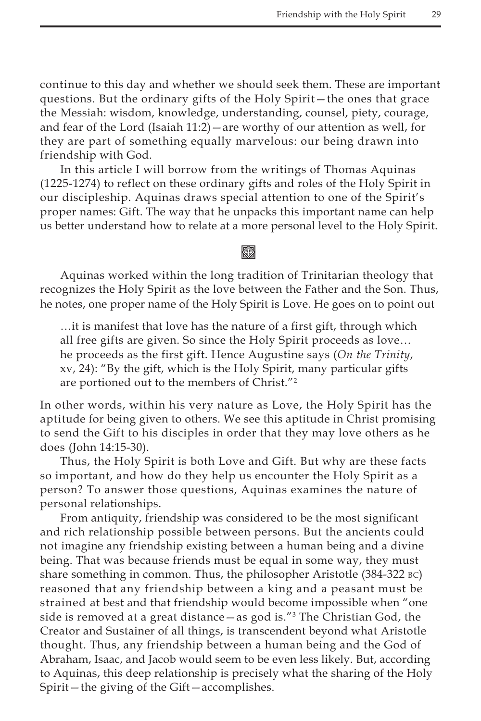continue to this day and whether we should seek them. These are important questions. But the ordinary gifts of the Holy Spirit—the ones that grace the Messiah: wisdom, knowledge, understanding, counsel, piety, courage, and fear of the Lord (Isaiah 11:2)—are worthy of our attention as well, for they are part of something equally marvelous: our being drawn into friendship with God.

In this article I will borrow from the writings of Thomas Aquinas (1225-1274) to reflect on these ordinary gifts and roles of the Holy Spirit in our discipleship. Aquinas draws special attention to one of the Spirit's proper names: Gift. The way that he unpacks this important name can help us better understand how to relate at a more personal level to the Holy Spirit.

## k)

Aquinas worked within the long tradition of Trinitarian theology that recognizes the Holy Spirit as the love between the Father and the Son. Thus, he notes, one proper name of the Holy Spirit is Love. He goes on to point out

…it is manifest that love has the nature of a first gift, through which all free gifts are given. So since the Holy Spirit proceeds as love… he proceeds as the first gift. Hence Augustine says (*On the Trinity*, xv, 24): "By the gift, which is the Holy Spirit, many particular gifts are portioned out to the members of Christ."2

In other words, within his very nature as Love, the Holy Spirit has the aptitude for being given to others. We see this aptitude in Christ promising to send the Gift to his disciples in order that they may love others as he does (John 14:15-30).

Thus, the Holy Spirit is both Love and Gift. But why are these facts so important, and how do they help us encounter the Holy Spirit as a person? To answer those questions, Aquinas examines the nature of personal relationships.

From antiquity, friendship was considered to be the most significant and rich relationship possible between persons. But the ancients could not imagine any friendship existing between a human being and a divine being. That was because friends must be equal in some way, they must share something in common. Thus, the philosopher Aristotle (384-322 bc) reasoned that any friendship between a king and a peasant must be strained at best and that friendship would become impossible when "one side is removed at a great distance—as god is."3 The Christian God, the Creator and Sustainer of all things, is transcendent beyond what Aristotle thought. Thus, any friendship between a human being and the God of Abraham, Isaac, and Jacob would seem to be even less likely. But, according to Aquinas, this deep relationship is precisely what the sharing of the Holy Spirit—the giving of the Gift—accomplishes.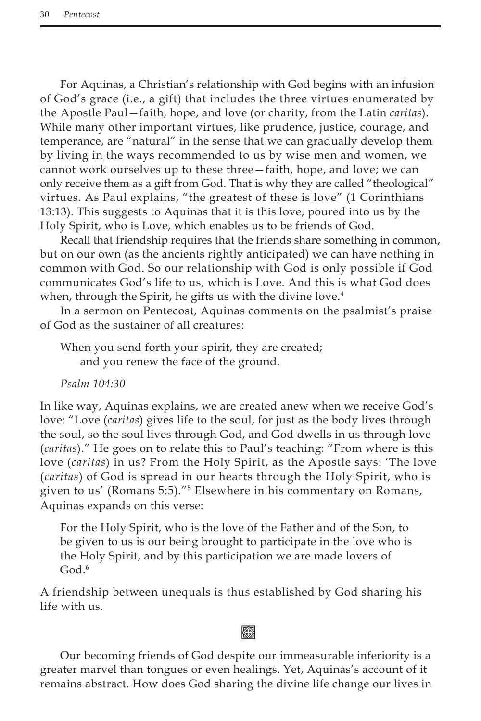For Aquinas, a Christian's relationship with God begins with an infusion of God's grace (i.e., a gift) that includes the three virtues enumerated by the Apostle Paul—faith, hope, and love (or charity, from the Latin *caritas*). While many other important virtues, like prudence, justice, courage, and temperance, are "natural" in the sense that we can gradually develop them by living in the ways recommended to us by wise men and women, we cannot work ourselves up to these three—faith, hope, and love; we can only receive them as a gift from God. That is why they are called "theological" virtues. As Paul explains, "the greatest of these is love" (1 Corinthians 13:13). This suggests to Aquinas that it is this love, poured into us by the Holy Spirit, who is Love, which enables us to be friends of God.

Recall that friendship requires that the friends share something in common, but on our own (as the ancients rightly anticipated) we can have nothing in common with God. So our relationship with God is only possible if God communicates God's life to us, which is Love. And this is what God does when, through the Spirit, he gifts us with the divine love.<sup>4</sup>

In a sermon on Pentecost, Aquinas comments on the psalmist's praise of God as the sustainer of all creatures:

When you send forth your spirit, they are created; and you renew the face of the ground.

*Psalm 104:30*

In like way, Aquinas explains, we are created anew when we receive God's love: "Love (*caritas*) gives life to the soul, for just as the body lives through the soul, so the soul lives through God, and God dwells in us through love (*caritas*)." He goes on to relate this to Paul's teaching: "From where is this love (*caritas*) in us? From the Holy Spirit, as the Apostle says: 'The love (*caritas*) of God is spread in our hearts through the Holy Spirit, who is given to us' (Romans 5:5)."5 Elsewhere in his commentary on Romans, Aquinas expands on this verse:

For the Holy Spirit, who is the love of the Father and of the Son, to be given to us is our being brought to participate in the love who is the Holy Spirit, and by this participation we are made lovers of God $6$ 

A friendship between unequals is thus established by God sharing his life with us.

# **⊗**

Our becoming friends of God despite our immeasurable inferiority is a greater marvel than tongues or even healings. Yet, Aquinas's account of it remains abstract. How does God sharing the divine life change our lives in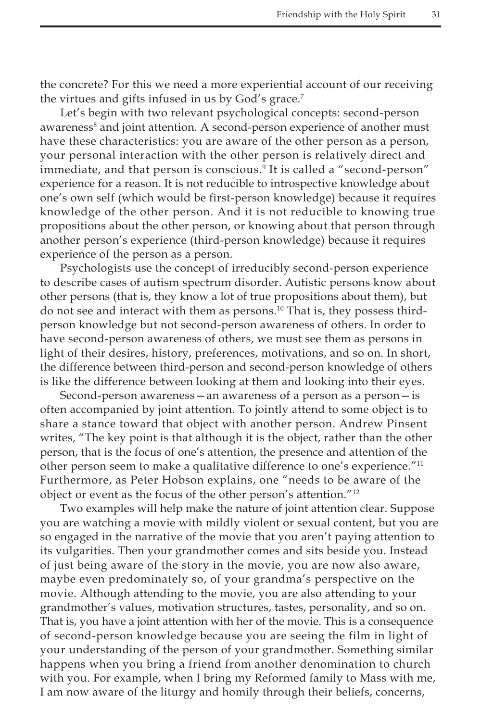the concrete? For this we need a more experiential account of our receiving the virtues and gifts infused in us by God's grace.7

Let's begin with two relevant psychological concepts: second-person awareness<sup>8</sup> and joint attention. A second-person experience of another must have these characteristics: you are aware of the other person as a person, your personal interaction with the other person is relatively direct and immediate, and that person is conscious.9 It is called a "second-person" experience for a reason. It is not reducible to introspective knowledge about one's own self (which would be first-person knowledge) because it requires knowledge of the other person. And it is not reducible to knowing true propositions about the other person, or knowing about that person through another person's experience (third-person knowledge) because it requires experience of the person as a person.

Psychologists use the concept of irreducibly second-person experience to describe cases of autism spectrum disorder. Autistic persons know about other persons (that is, they know a lot of true propositions about them), but do not see and interact with them as persons.<sup>10</sup> That is, they possess thirdperson knowledge but not second-person awareness of others. In order to have second-person awareness of others, we must see them as persons in light of their desires, history, preferences, motivations, and so on. In short, the difference between third-person and second-person knowledge of others is like the difference between looking at them and looking into their eyes.

Second-person awareness—an awareness of a person as a person—is often accompanied by joint attention. To jointly attend to some object is to share a stance toward that object with another person. Andrew Pinsent writes, "The key point is that although it is the object, rather than the other person, that is the focus of one's attention, the presence and attention of the other person seem to make a qualitative difference to one's experience."<sup>11</sup> Furthermore, as Peter Hobson explains, one "needs to be aware of the object or event as the focus of the other person's attention."12

Two examples will help make the nature of joint attention clear. Suppose you are watching a movie with mildly violent or sexual content, but you are so engaged in the narrative of the movie that you aren't paying attention to its vulgarities. Then your grandmother comes and sits beside you. Instead of just being aware of the story in the movie, you are now also aware, maybe even predominately so, of your grandma's perspective on the movie. Although attending to the movie, you are also attending to your grandmother's values, motivation structures, tastes, personality, and so on. That is, you have a joint attention with her of the movie. This is a consequence of second-person knowledge because you are seeing the film in light of your understanding of the person of your grandmother. Something similar happens when you bring a friend from another denomination to church with you. For example, when I bring my Reformed family to Mass with me, I am now aware of the liturgy and homily through their beliefs, concerns,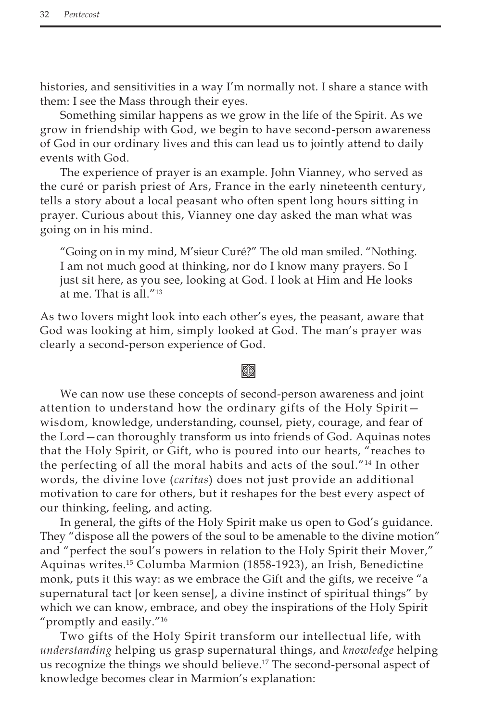histories, and sensitivities in a way I'm normally not. I share a stance with them: I see the Mass through their eyes.

Something similar happens as we grow in the life of the Spirit. As we grow in friendship with God, we begin to have second-person awareness of God in our ordinary lives and this can lead us to jointly attend to daily events with God.

The experience of prayer is an example. John Vianney, who served as the curé or parish priest of Ars, France in the early nineteenth century, tells a story about a local peasant who often spent long hours sitting in prayer. Curious about this, Vianney one day asked the man what was going on in his mind.

"Going on in my mind, M'sieur Curé?" The old man smiled. "Nothing. I am not much good at thinking, nor do I know many prayers. So I just sit here, as you see, looking at God. I look at Him and He looks at me. That is all."13

As two lovers might look into each other's eyes, the peasant, aware that God was looking at him, simply looked at God. The man's prayer was clearly a second-person experience of God.

## Kon

We can now use these concepts of second-person awareness and joint attention to understand how the ordinary gifts of the Holy Spirit wisdom, knowledge, understanding, counsel, piety, courage, and fear of the Lord—can thoroughly transform us into friends of God. Aquinas notes that the Holy Spirit, or Gift, who is poured into our hearts, "reaches to the perfecting of all the moral habits and acts of the soul."14 In other words, the divine love (*caritas*) does not just provide an additional motivation to care for others, but it reshapes for the best every aspect of our thinking, feeling, and acting.

In general, the gifts of the Holy Spirit make us open to God's guidance. They "dispose all the powers of the soul to be amenable to the divine motion" and "perfect the soul's powers in relation to the Holy Spirit their Mover," Aquinas writes.15 Columba Marmion (1858-1923), an Irish, Benedictine monk, puts it this way: as we embrace the Gift and the gifts, we receive "a supernatural tact [or keen sense], a divine instinct of spiritual things" by which we can know, embrace, and obey the inspirations of the Holy Spirit "promptly and easily."16

Two gifts of the Holy Spirit transform our intellectual life, with *understanding* helping us grasp supernatural things, and *knowledge* helping us recognize the things we should believe.<sup>17</sup> The second-personal aspect of knowledge becomes clear in Marmion's explanation: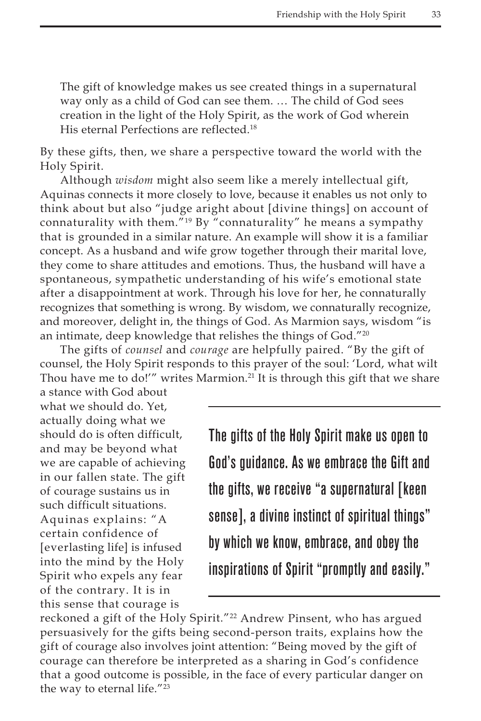The gift of knowledge makes us see created things in a supernatural way only as a child of God can see them. … The child of God sees creation in the light of the Holy Spirit, as the work of God wherein His eternal Perfections are reflected.<sup>18</sup>

By these gifts, then, we share a perspective toward the world with the Holy Spirit.

Although *wisdom* might also seem like a merely intellectual gift, Aquinas connects it more closely to love, because it enables us not only to think about but also "judge aright about [divine things] on account of connaturality with them."19 By "connaturality" he means a sympathy that is grounded in a similar nature. An example will show it is a familiar concept. As a husband and wife grow together through their marital love, they come to share attitudes and emotions. Thus, the husband will have a spontaneous, sympathetic understanding of his wife's emotional state after a disappointment at work. Through his love for her, he connaturally recognizes that something is wrong. By wisdom, we connaturally recognize, and moreover, delight in, the things of God. As Marmion says, wisdom "is an intimate, deep knowledge that relishes the things of God."<sup>20</sup>

The gifts of *counsel* and *courage* are helpfully paired. "By the gift of counsel, the Holy Spirit responds to this prayer of the soul: 'Lord, what wilt Thou have me to do!'" writes Marmion.<sup>21</sup> It is through this gift that we share

a stance with God about what we should do. Yet, actually doing what we should do is often difficult, and may be beyond what we are capable of achieving in our fallen state. The gift of courage sustains us in such difficult situations. Aquinas explains: "A certain confidence of [everlasting life] is infused into the mind by the Holy Spirit who expels any fear of the contrary. It is in this sense that courage is

The gifts of the Holy Spirit make us open to God's guidance. As we embrace the Gift and the gifts, we receive "a supernatural [keen sense], a divine instinct of spiritual things" by which we know, embrace, and obey the inspirations of Spirit "promptly and easily."

reckoned a gift of the Holy Spirit."<sup>22</sup> Andrew Pinsent, who has argued persuasively for the gifts being second-person traits, explains how the gift of courage also involves joint attention: "Being moved by the gift of courage can therefore be interpreted as a sharing in God's confidence that a good outcome is possible, in the face of every particular danger on the way to eternal life."23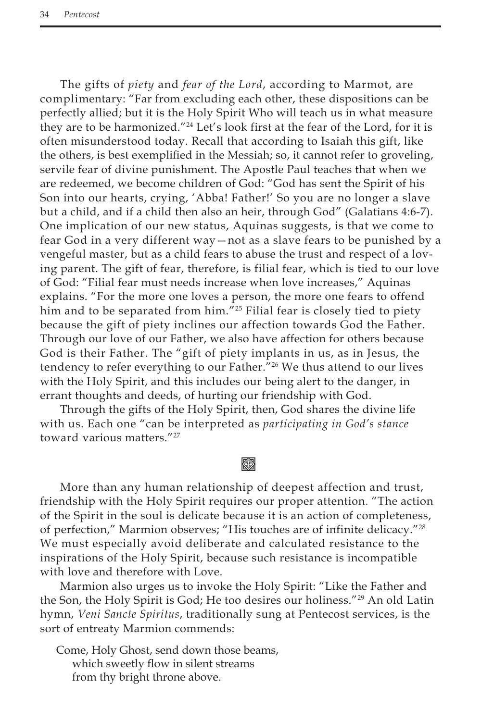The gifts of *piety* and *fear of the Lord*, according to Marmot, are complimentary: "Far from excluding each other, these dispositions can be perfectly allied; but it is the Holy Spirit Who will teach us in what measure they are to be harmonized."24 Let's look first at the fear of the Lord, for it is often misunderstood today. Recall that according to Isaiah this gift, like the others, is best exemplified in the Messiah; so, it cannot refer to groveling, servile fear of divine punishment. The Apostle Paul teaches that when we are redeemed, we become children of God: "God has sent the Spirit of his Son into our hearts, crying, 'Abba! Father!' So you are no longer a slave but a child, and if a child then also an heir, through God" (Galatians 4:6-7). One implication of our new status, Aquinas suggests, is that we come to fear God in a very different way—not as a slave fears to be punished by a vengeful master, but as a child fears to abuse the trust and respect of a loving parent. The gift of fear, therefore, is filial fear, which is tied to our love of God: "Filial fear must needs increase when love increases," Aquinas explains. "For the more one loves a person, the more one fears to offend him and to be separated from him."<sup>25</sup> Filial fear is closely tied to piety because the gift of piety inclines our affection towards God the Father. Through our love of our Father, we also have affection for others because God is their Father. The "gift of piety implants in us, as in Jesus, the tendency to refer everything to our Father."<sup>26</sup> We thus attend to our lives with the Holy Spirit, and this includes our being alert to the danger, in errant thoughts and deeds, of hurting our friendship with God.

Through the gifts of the Holy Spirit, then, God shares the divine life with us. Each one "can be interpreted as *participating in God's stance* toward various matters."27

## **⊗**

More than any human relationship of deepest affection and trust, friendship with the Holy Spirit requires our proper attention. "The action of the Spirit in the soul is delicate because it is an action of completeness, of perfection," Marmion observes; "His touches are of infinite delicacy."28 We must especially avoid deliberate and calculated resistance to the inspirations of the Holy Spirit, because such resistance is incompatible with love and therefore with Love.

Marmion also urges us to invoke the Holy Spirit: "Like the Father and the Son, the Holy Spirit is God; He too desires our holiness."29 An old Latin hymn, *Veni Sancte Spiritus*, traditionally sung at Pentecost services, is the sort of entreaty Marmion commends:

Come, Holy Ghost, send down those beams, which sweetly flow in silent streams from thy bright throne above.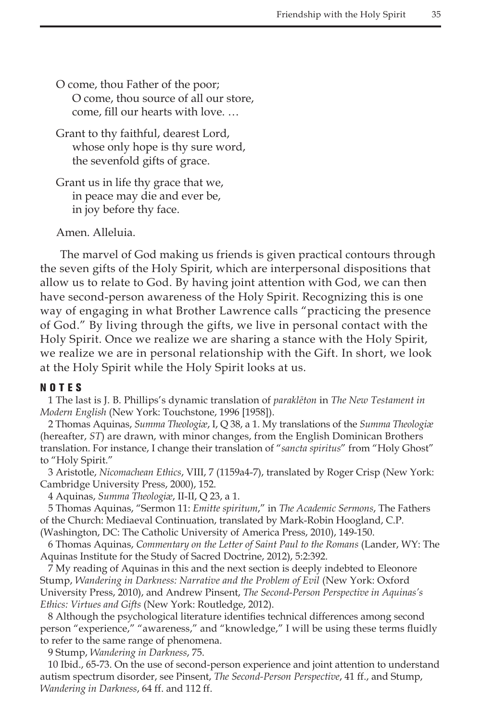O come, thou Father of the poor; O come, thou source of all our store, come, fill our hearts with love. …

Grant to thy faithful, dearest Lord, whose only hope is thy sure word, the sevenfold gifts of grace.

Grant us in life thy grace that we, in peace may die and ever be, in joy before thy face.

Amen. Alleluia.

The marvel of God making us friends is given practical contours through the seven gifts of the Holy Spirit, which are interpersonal dispositions that allow us to relate to God. By having joint attention with God, we can then have second-person awareness of the Holy Spirit. Recognizing this is one way of engaging in what Brother Lawrence calls "practicing the presence of God." By living through the gifts, we live in personal contact with the Holy Spirit. Once we realize we are sharing a stance with the Holy Spirit, we realize we are in personal relationship with the Gift. In short, we look at the Holy Spirit while the Holy Spirit looks at us.

#### NOTES

1 The last is J. B. Phillips's dynamic translation of *paraklēton* in *The New Testament in Modern English* (New York: Touchstone, 1996 [1958]).

2 Thomas Aquinas, *Summa Theologiæ*, I, Q 38, a 1. My translations of the *Summa Theologiæ*  (hereafter, *ST*) are drawn, with minor changes, from the English Dominican Brothers translation. For instance, I change their translation of "*sancta spiritus*" from "Holy Ghost" to "Holy Spirit."

3 Aristotle, *Nicomachean Ethics*, VIII, 7 (1159a4-7), translated by Roger Crisp (New York: Cambridge University Press, 2000), 152.

4 Aquinas, *Summa Theologiæ*, II-II, Q 23, a 1.

5 Thomas Aquinas, "Sermon 11: *Emitte spiritum*," in *The Academic Sermons*, The Fathers of the Church: Mediaeval Continuation, translated by Mark-Robin Hoogland, C.P. (Washington, DC: The Catholic University of America Press, 2010), 149-150.

6 Thomas Aquinas, *Commentary on the Letter of Saint Paul to the Romans* (Lander, WY: The Aquinas Institute for the Study of Sacred Doctrine, 2012), 5:2:392.

7 My reading of Aquinas in this and the next section is deeply indebted to Eleonore Stump, *Wandering in Darkness: Narrative and the Problem of Evil* (New York: Oxford University Press, 2010), and Andrew Pinsent, *The Second-Person Perspective in Aquinas's Ethics: Virtues and Gifts* (New York: Routledge, 2012).

8 Although the psychological literature identifies technical differences among second person "experience," "awareness," and "knowledge," I will be using these terms fluidly to refer to the same range of phenomena.

9 Stump, *Wandering in Darkness*, 75.

10 Ibid., 65-73. On the use of second-person experience and joint attention to understand autism spectrum disorder, see Pinsent, *The Second-Person Perspective*, 41 ff., and Stump, *Wandering in Darkness*, 64 ff. and 112 ff.